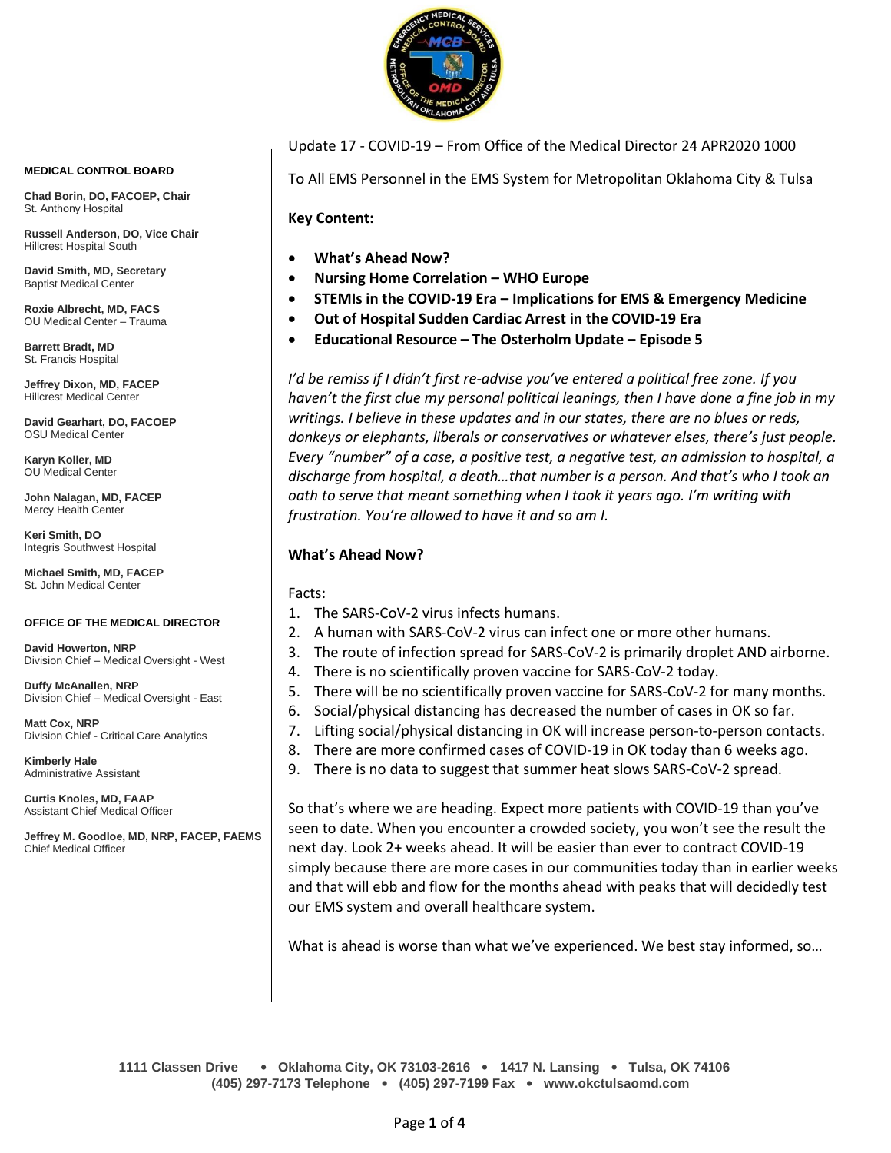

**MEDICAL CONTROL BOARD**

**Chad Borin, DO, FACOEP, Chair**  St. Anthony Hospital

**Russell Anderson, DO, Vice Chair** Hillcrest Hospital South

**David Smith, MD, Secretary** Baptist Medical Center

**Roxie Albrecht, MD, FACS** OU Medical Center – Trauma

**Barrett Bradt, MD** St. Francis Hospital

**Jeffrey Dixon, MD, FACEP** Hillcrest Medical Center

**David Gearhart, DO, FACOEP** OSU Medical Center

**Karyn Koller, MD** OU Medical Center

**John Nalagan, MD, FACEP** Mercy Health Center

**Keri Smith, DO** Integris Southwest Hospital

**Michael Smith, MD, FACEP** St. John Medical Center

#### **OFFICE OF THE MEDICAL DIRECTOR**

**David Howerton, NRP** Division Chief – Medical Oversight - West

**Duffy McAnallen, NRP** Division Chief – Medical Oversight - East

**Matt Cox, NRP** Division Chief - Critical Care Analytics

**Kimberly Hale** Administrative Assistant

**Curtis Knoles, MD, FAAP** Assistant Chief Medical Officer

**Jeffrey M. Goodloe, MD, NRP, FACEP, FAEMS** Chief Medical Officer

#### Update 17 - COVID-19 – From Office of the Medical Director 24 APR2020 1000

To All EMS Personnel in the EMS System for Metropolitan Oklahoma City & Tulsa

**Key Content:**

- **What's Ahead Now?**
- **Nursing Home Correlation – WHO Europe**
- **STEMIs in the COVID-19 Era – Implications for EMS & Emergency Medicine**
- **Out of Hospital Sudden Cardiac Arrest in the COVID-19 Era**
- **Educational Resource – The Osterholm Update – Episode 5**

*I'd be remiss if I didn't first re-advise you've entered a political free zone. If you haven't the first clue my personal political leanings, then I have done a fine job in my writings. I believe in these updates and in our states, there are no blues or reds, donkeys or elephants, liberals or conservatives or whatever elses, there's just people. Every "number" of a case, a positive test, a negative test, an admission to hospital, a discharge from hospital, a death…that number is a person. And that's who I took an oath to serve that meant something when I took it years ago. I'm writing with frustration. You're allowed to have it and so am I.*

### **What's Ahead Now?**

Facts:

- 1. The SARS-CoV-2 virus infects humans.
- 2. A human with SARS-CoV-2 virus can infect one or more other humans.
- 3. The route of infection spread for SARS-CoV-2 is primarily droplet AND airborne.
- 4. There is no scientifically proven vaccine for SARS-CoV-2 today.
- 5. There will be no scientifically proven vaccine for SARS-CoV-2 for many months.
- 6. Social/physical distancing has decreased the number of cases in OK so far.
- 7. Lifting social/physical distancing in OK will increase person-to-person contacts.
- 8. There are more confirmed cases of COVID-19 in OK today than 6 weeks ago.
- 9. There is no data to suggest that summer heat slows SARS-CoV-2 spread.

So that's where we are heading. Expect more patients with COVID-19 than you've seen to date. When you encounter a crowded society, you won't see the result the next day. Look 2+ weeks ahead. It will be easier than ever to contract COVID-19 simply because there are more cases in our communities today than in earlier weeks and that will ebb and flow for the months ahead with peaks that will decidedly test our EMS system and overall healthcare system.

What is ahead is worse than what we've experienced. We best stay informed, so…

**1111 Classen Drive** • **Oklahoma City, OK 73103-2616** • **1417 N. Lansing** • **Tulsa, OK 74106 (405) 297-7173 Telephone** • **(405) 297-7199 Fax** • **www.okctulsaomd.com**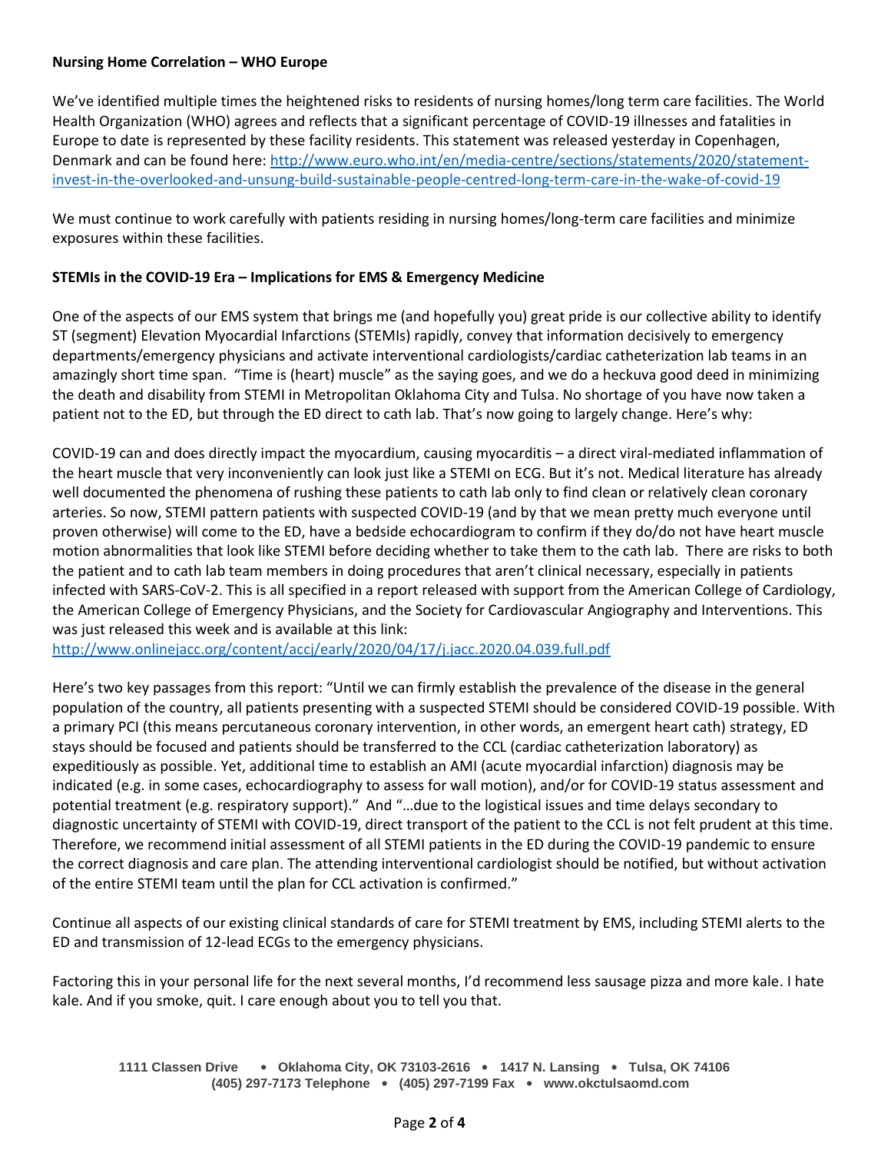## **Nursing Home Correlation – WHO Europe**

We've identified multiple times the heightened risks to residents of nursing homes/long term care facilities. The World Health Organization (WHO) agrees and reflects that a significant percentage of COVID-19 illnesses and fatalities in Europe to date is represented by these facility residents. This statement was released yesterday in Copenhagen, Denmark and can be found here[: http://www.euro.who.int/en/media-centre/sections/statements/2020/statement](http://www.euro.who.int/en/media-centre/sections/statements/2020/statement-invest-in-the-overlooked-and-unsung-build-sustainable-people-centred-long-term-care-in-the-wake-of-covid-19)[invest-in-the-overlooked-and-unsung-build-sustainable-people-centred-long-term-care-in-the-wake-of-covid-19](http://www.euro.who.int/en/media-centre/sections/statements/2020/statement-invest-in-the-overlooked-and-unsung-build-sustainable-people-centred-long-term-care-in-the-wake-of-covid-19) 

We must continue to work carefully with patients residing in nursing homes/long-term care facilities and minimize exposures within these facilities.

## **STEMIs in the COVID-19 Era – Implications for EMS & Emergency Medicine**

One of the aspects of our EMS system that brings me (and hopefully you) great pride is our collective ability to identify ST (segment) Elevation Myocardial Infarctions (STEMIs) rapidly, convey that information decisively to emergency departments/emergency physicians and activate interventional cardiologists/cardiac catheterization lab teams in an amazingly short time span. "Time is (heart) muscle" as the saying goes, and we do a heckuva good deed in minimizing the death and disability from STEMI in Metropolitan Oklahoma City and Tulsa. No shortage of you have now taken a patient not to the ED, but through the ED direct to cath lab. That's now going to largely change. Here's why:

COVID-19 can and does directly impact the myocardium, causing myocarditis – a direct viral-mediated inflammation of the heart muscle that very inconveniently can look just like a STEMI on ECG. But it's not. Medical literature has already well documented the phenomena of rushing these patients to cath lab only to find clean or relatively clean coronary arteries. So now, STEMI pattern patients with suspected COVID-19 (and by that we mean pretty much everyone until proven otherwise) will come to the ED, have a bedside echocardiogram to confirm if they do/do not have heart muscle motion abnormalities that look like STEMI before deciding whether to take them to the cath lab. There are risks to both the patient and to cath lab team members in doing procedures that aren't clinical necessary, especially in patients infected with SARS-CoV-2. This is all specified in a report released with support from the American College of Cardiology, the American College of Emergency Physicians, and the Society for Cardiovascular Angiography and Interventions. This was just released this week and is available at this link:

<http://www.onlinejacc.org/content/accj/early/2020/04/17/j.jacc.2020.04.039.full.pdf>

Here's two key passages from this report: "Until we can firmly establish the prevalence of the disease in the general population of the country, all patients presenting with a suspected STEMI should be considered COVID-19 possible. With a primary PCI (this means percutaneous coronary intervention, in other words, an emergent heart cath) strategy, ED stays should be focused and patients should be transferred to the CCL (cardiac catheterization laboratory) as expeditiously as possible. Yet, additional time to establish an AMI (acute myocardial infarction) diagnosis may be indicated (e.g. in some cases, echocardiography to assess for wall motion), and/or for COVID-19 status assessment and potential treatment (e.g. respiratory support)." And "…due to the logistical issues and time delays secondary to diagnostic uncertainty of STEMI with COVID-19, direct transport of the patient to the CCL is not felt prudent at this time. Therefore, we recommend initial assessment of all STEMI patients in the ED during the COVID-19 pandemic to ensure the correct diagnosis and care plan. The attending interventional cardiologist should be notified, but without activation of the entire STEMI team until the plan for CCL activation is confirmed."

Continue all aspects of our existing clinical standards of care for STEMI treatment by EMS, including STEMI alerts to the ED and transmission of 12-lead ECGs to the emergency physicians.

Factoring this in your personal life for the next several months, I'd recommend less sausage pizza and more kale. I hate kale. And if you smoke, quit. I care enough about you to tell you that.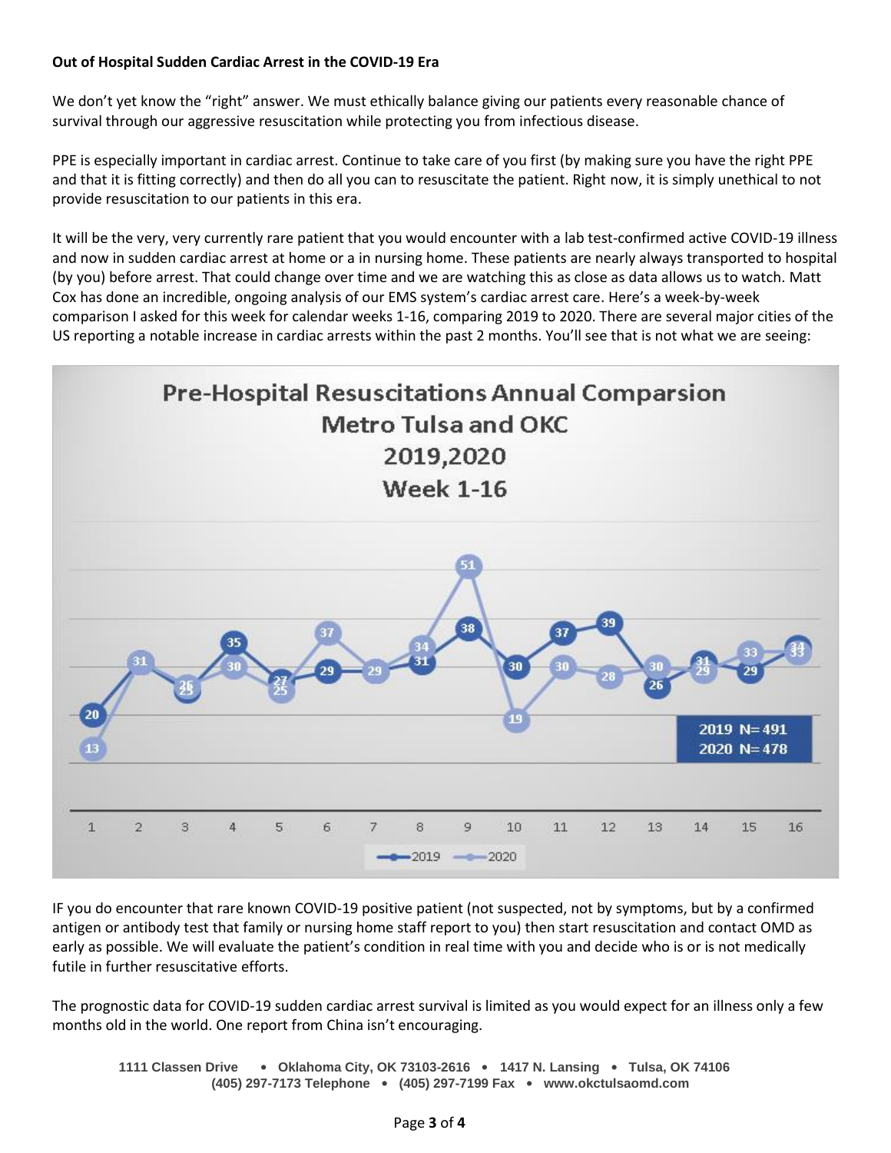# **Out of Hospital Sudden Cardiac Arrest in the COVID-19 Era**

We don't yet know the "right" answer. We must ethically balance giving our patients every reasonable chance of survival through our aggressive resuscitation while protecting you from infectious disease.

PPE is especially important in cardiac arrest. Continue to take care of you first (by making sure you have the right PPE and that it is fitting correctly) and then do all you can to resuscitate the patient. Right now, it is simply unethical to not provide resuscitation to our patients in this era.

It will be the very, very currently rare patient that you would encounter with a lab test-confirmed active COVID-19 illness and now in sudden cardiac arrest at home or a in nursing home. These patients are nearly always transported to hospital (by you) before arrest. That could change over time and we are watching this as close as data allows us to watch. Matt Cox has done an incredible, ongoing analysis of our EMS system's cardiac arrest care. Here's a week-by-week comparison I asked for this week for calendar weeks 1-16, comparing 2019 to 2020. There are several major cities of the US reporting a notable increase in cardiac arrests within the past 2 months. You'll see that is not what we are seeing:



IF you do encounter that rare known COVID-19 positive patient (not suspected, not by symptoms, but by a confirmed antigen or antibody test that family or nursing home staff report to you) then start resuscitation and contact OMD as early as possible. We will evaluate the patient's condition in real time with you and decide who is or is not medically futile in further resuscitative efforts.

The prognostic data for COVID-19 sudden cardiac arrest survival is limited as you would expect for an illness only a few months old in the world. One report from China isn't encouraging.